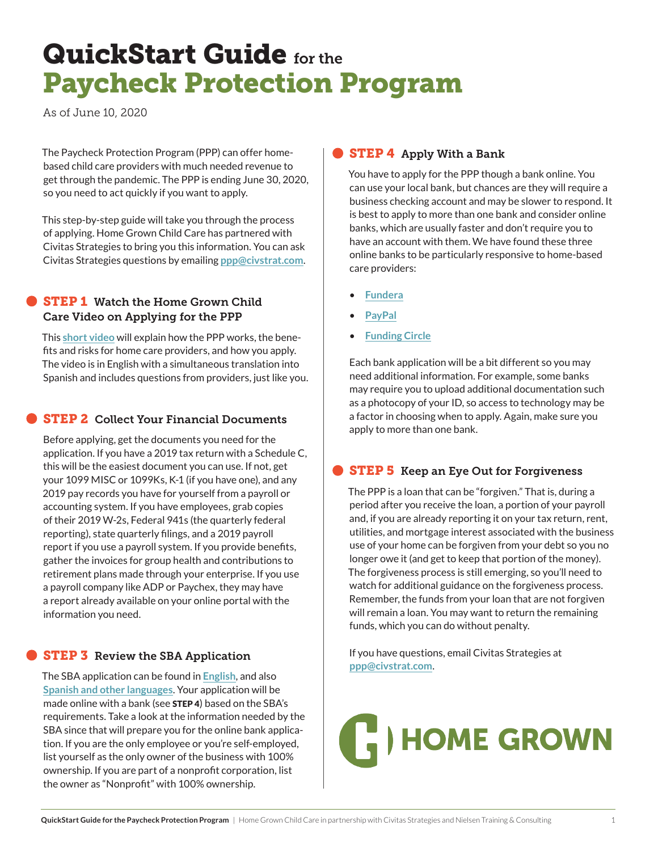## QuickStart Guide for the Paycheck Protection Program

As of June 10, 2020

The Paycheck Protection Program (PPP) can offer homebased child care providers with much needed revenue to get through the pandemic. The PPP is ending June 30, 2020, so you need to act quickly if you want to apply.

This step-by-step guide will take you through the process of applying. Home Grown Child Care has partnered with Civitas Strategies to bring you this information. You can ask Civitas Strategies questions by emailing **[ppp@civstrat.com](mailto:ppp%40civstrat.com?subject=)**.

#### **STEP 1** Watch the Home Grown Child Care Video on Applying for the PPP

This **[short video](https://us02web.zoom.us/rec/play/u5Urd-qtrjs3EtKdswSDU_N5W9S-LKys2yNK-PsKxEq9UCNVYVKnN7MaYuZyMO8ekvG4GcsiVCQiV-0U?startTime=1591646425000&_x_zm_rtaid=FaROpXWuRb6u_qvN5875Aw.1591753859031.d331a9fbcceb7f624fb5f364ef2cce6d&_x_zm_rhtaid=134 )** will explain how the PPP works, the benefits and risks for home care providers, and how you apply. The video is in English with a simultaneous translation into Spanish and includes questions from providers, just like you.

#### **STEP 2 Collect Your Financial Documents**

Before applying, get the documents you need for the application. If you have a 2019 tax return with a Schedule C, this will be the easiest document you can use. If not, get your 1099 MISC or 1099Ks, K-1 (if you have one), and any 2019 pay records you have for yourself from a payroll or accounting system. If you have employees, grab copies of their 2019 W-2s, Federal 941s (the quarterly federal reporting), state quarterly filings, and a 2019 payroll report if you use a payroll system. If you provide benefits, gather the invoices for group health and contributions to retirement plans made through your enterprise. If you use a payroll company like ADP or Paychex, they may have a report already available on your online portal with the information you need.

### **STEP 3** Review the SBA Application

The SBA application can be found in **[English](https://www.sba.gov/sites/default/files/2020-06/PPP-Borrower-Application-Form-Fillable-508.pdf)**, and also **[Spanish and other languages](https://www.sba.gov/document/sba-form--ppp-sample-application-form-translations)**. Your application will be made online with a bank (see **STEP 4**) based on the SBA's requirements. Take a look at the information needed by the SBA since that will prepare you for the online bank application. If you are the only employee or you're self-employed, list yourself as the only owner of the business with 100% ownership. If you are part of a nonprofit corporation, list the owner as "Nonprofit" with 100% ownership.

#### **STEP 4** Apply With a Bank

You have to apply for the PPP though a bank online. You can use your local bank, but chances are they will require a business checking account and may be slower to respond. It is best to apply to more than one bank and consider online banks, which are usually faster and don't require you to have an account with them. We have found these three online banks to be particularly responsive to home-based care providers:

- **[Fundera](http://www.fundera.com/ppp)**
- **[PayPal](http://www.loanbuilder.com/application/us/sba/1/applicationPage1)**
- **[Funding Circle](http://www.fundingcircle.com/us/small-business-loans)**

Each bank application will be a bit different so you may need additional information. For example, some banks may require you to upload additional documentation such as a photocopy of your ID, so access to technology may be a factor in choosing when to apply. Again, make sure you apply to more than one bank.

#### **STEP 5** Keep an Eye Out for Forgiveness

The PPP is a loan that can be "forgiven." That is, during a period after you receive the loan, a portion of your payroll and, if you are already reporting it on your tax return, rent, utilities, and mortgage interest associated with the business use of your home can be forgiven from your debt so you no longer owe it (and get to keep that portion of the money). The forgiveness process is still emerging, so you'll need to watch for additional guidance on the forgiveness process. Remember, the funds from your loan that are not forgiven will remain a loan. You may want to return the remaining funds, which you can do without penalty.

If you have questions, email Civitas Strategies at **[ppp@civstrat.com](mailto:ppp%40civstrat.com?subject=)**.

# HOME GROWN